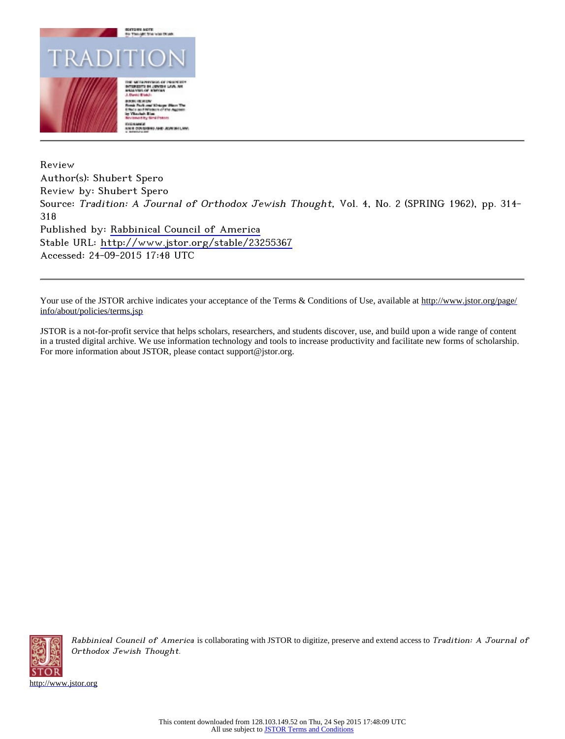

Review Author(s): Shubert Spero Review by: Shubert Spero Source: Tradition: A Journal of Orthodox Jewish Thought, Vol. 4, No. 2 (SPRING 1962), pp. 314- 318 Published by: [Rabbinical Council of America](http://www.jstor.org/action/showPublisher?publisherCode=rca) Stable URL: <http://www.jstor.org/stable/23255367> Accessed: 24-09-2015 17:48 UTC

Your use of the JSTOR archive indicates your acceptance of the Terms & Conditions of Use, available at [http://www.jstor.org/page/](http://www.jstor.org/page/info/about/policies/terms.jsp) [info/about/policies/terms.jsp](http://www.jstor.org/page/info/about/policies/terms.jsp)

JSTOR is a not-for-profit service that helps scholars, researchers, and students discover, use, and build upon a wide range of content in a trusted digital archive. We use information technology and tools to increase productivity and facilitate new forms of scholarship. For more information about JSTOR, please contact support@jstor.org.



Rabbinical Council of America is collaborating with JSTOR to digitize, preserve and extend access to Tradition: A Journal of Orthodox Jewish Thought.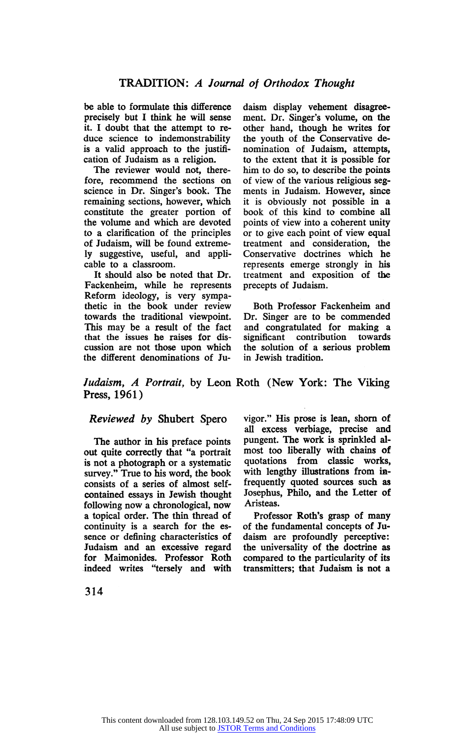be able to formulate this difference precisely but I think he will sense it. I doubt that the attempt to re duce science to indemonstrability is a valid approach to the justification of Judaism as a religion.

The reviewer would not, there fore, recommend the sections on science in Dr. Singer's book. The remaining sections, however, which constitute the greater portion of the volume and which are devoted to a clarification of the principles of Judaism, will be found extreme ly suggestive, useful, and appli cable to a classroom.

It should also be noted that Dr. Fackenheim, while he represents Reform ideology, is very sympa thetic in the book under review towards the traditional viewpoint. This may be a result of the fact that the issues he raises for dis cussion are not those upon which the different denominations of Ju

daism display vehement disagree ment. Dr. Singer's volume, on the other hand, though he writes for the youth of the Conservative de nomination of Judaism, attempts, to the extent that it is possible for him to do so, to describe the points of view of the various religious seg ments in Judaism. However, since it is obviously not possible in a book of this kind to combine all points of view into a coherent unity or to give each point of view equal treatment and consideration, the Conservative doctrines which he represents emerge strongly in his treatment and exposition of the precepts of Judaism.

Both Professor Fackenheim and Dr. Singer are to be commended and congratulated for making a contribution the solution of a serious problem in Jewish tradition.

Judaism, A Portrait, by Leon Roth (New York: The Viking Press, 1961)

## Reviewed by Shubert Spero

The author in his preface points out quite correctly that "a portrait is not a photograph or a systematic survey." True to his word, the book consists of a series of almost self contained essays in Jewish thought following now a chronological, now a topical order. The thin thread of continuity is a search for the es sence or defining characteristics of Judaism and an excessive regard for Maimonides. Professor Roth indeed writes "tersely and with

vigor." His prose is lean, shorn of all excess verbiage, precise and pungent. The work is sprinkled al most too liberally with chains of quotations from classic works, with lengthy illustrations from in frequently quoted sources such as Josephus, Philo, and the Letter of Aristeas.

Professor Roth's grasp of many of the fundamental concepts of Ju daism are profoundly perceptive: the universality of the doctrine as compared to the particularity of its transmitters; that Judaism is not a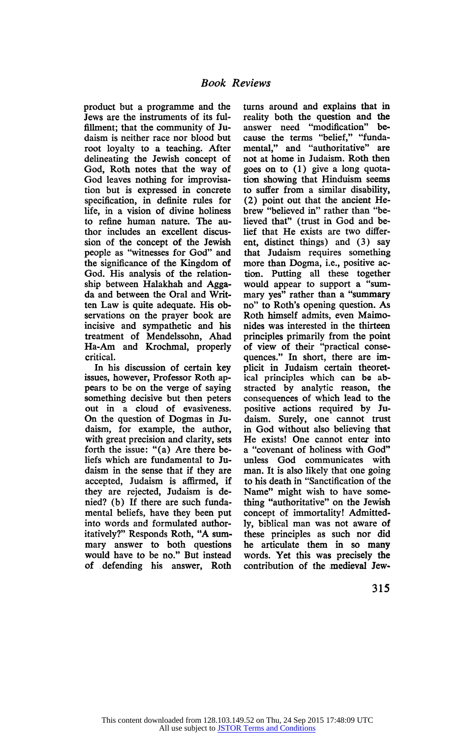product but a programme and the Jews are the instruments of its ful fillment; that the community of Ju daism is neither race nor blood but root loyalty to a teaching. After delineating the Jewish concept of God, Roth notes that the way of God leaves nothing for improvisa tion but is expressed in concrete specification, in definite rules for life, in a vision of divine holiness to refine human nature. The au thor includes an excellent discus sion of the concept of the Jewish people as "witnesses for God" and the significance of the Kingdom of God. His analysis of the relation ship between Halakhah and Agga da and between the Oral and Writ ten Law is quite adequate. His ob servations on the prayer book are incisive and sympathetic and his treatment of Mendelssohn, Ahad Ha-Am and Krochmal, properly critical.

In his discussion of certain key issues, however, Professor Roth ap pears to be on the verge of saying something decisive but then peters out in a cloud of evasiveness. On the question of Dogmas in Ju daism, for example, the author, with great precision and clarity, sets forth the issue: "(a) Are there be liefs which are fundamental to Ju daism in the sense that if they are accepted, Judaism is affirmed, if they are rejected, Judaism is de nied? (b) If there are such funda mental beliefs, have they been put into words and formulated author itatively?" Responds Roth, "A sum mary answer to both questions would have to be no." But instead of defending his answer, Roth

turns around and explains that in reality both the question and the answer need "modification" be cause the terms "belief," "funda mental," and "authoritative" are not at home in Judaism. Roth then goes on to (1) give a long quota tion showing that Hinduism seems to suffer from a similar disability, (2) point out that the ancient He brew "believed in" rather than "be lieved that" (trust in God and be lief that He exists are two differ ent, distinct things) and (3) say that Judaism requires something more than Dogma, i.e., positive ac tion. Putting all these together would appear to support a "sum mary yes" rather than a "summary no" to Roth's opening question. As Roth himself admits, even Maimo nides was interested in the thirteen principles primarily from the point of view of their "practical conse quences." In short, there are im plicit in Judaism certain theoret ical principles which can be ab stracted by analytic reason, the consequences of which lead to the positive actions required by Ju daism. Surely, one cannot trust in God without also believing that He exists! One cannot enter into a "covenant of holiness with God" unless God communicates with man. It is also likely that one going to his death in "Sanctification of the Name" might wish to have some thing "authoritative" on the Jewish concept of immortality! Admitted ly, biblical man was not aware of these principles as such nor did he articulate them in so many words. Yet this was precisely the contribution of the medieval Jew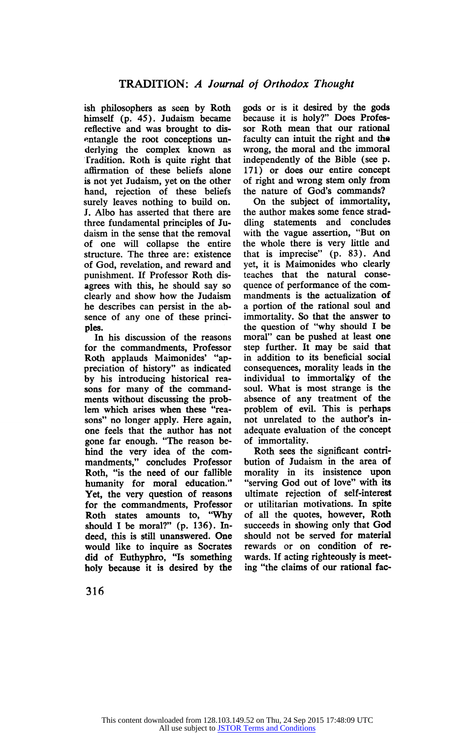ish philosophers as seen by Roth himself (p. 45). Judaism became reflective and was brought to dis entangle the root conceptions un derlying the complex known as Tradition. Roth is quite right that affirmation of these beliefs alone is not yet Judaism, yet on the other hand, rejection of these beliefs surely leaves nothing to build on. J. Albo has asserted that there are three fundamental principles of Ju daism in the sense that the removal of one will collapse the entire structure. The three are: existence of God, revelation, and reward and punishment. If Professor Roth dis agrees with this, he should say so clearly and show how the Judaism he describes can persist in the ab sence of any one of these princi ples.

In his discussion of the reasons for the commandments, Professor Roth applauds Maimonides' "ap preciation of history" as indicated by his introducing historical rea sons for many of the commandments without discussing the prob lem which arises when these "rea sons" no longer apply. Here again, one feels that the author has not gone far enough. "The reason be hind the very idea of the com mandments," concludes Professor Roth, "is the need of our fallible humanity for moral education." Yet, the very question of reasons for the commandments, Professor Roth states amounts to, "Why should I be moral?" (p. 136). Indeed, this is still unanswered. One would like to inquire as Socrates did of Euthyphro, "Is something holy because it is desired by the

gods or is it desired by the gods because it is holy?" Does Profes sor Roth mean that our rational faculty can intuit the right and the wrong, the moral and the immoral independently of the Bible (see p. 171) or does our entire concept of right and wrong stem only from the nature of God's commands?

On the subject of immortality, the author makes some fence strad dling statements and concludes with the vague assertion, "But on the whole there is very little and that is imprecise" (p. 83). And yet, it is Maimonides who clearly teaches that the natural conse quence of performance of the com mandments is the actualization of a portion of the rational soul and immortality. So that the answer to the question of "why should I be moral" can be pushed at least one step further. It may be said that in addition to its beneficial social consequences, morality leads in the individual to immortality of the soul. What is most strange is the absence of any treatment of the problem of evil. This is perhaps not unrelated to the author's in adequate evaluation of the concept of immortality.

Roth sees the significant contri bution of Judaism in the area of morality in its insistence upon "serving God out of love" with its ultimate rejection of self-interest or utilitarian motivations. In spite of all the quotes, however, Roth succeeds in showing only that God should not be served for material rewards or on condition of re wards. If acting righteously is meet ing "the claims of our rational fac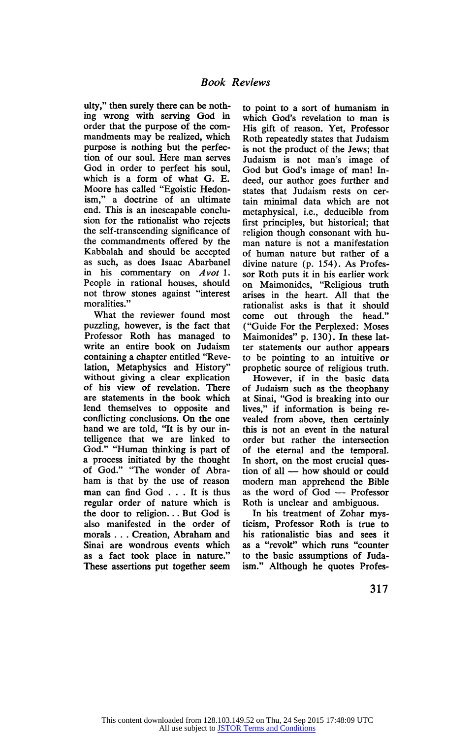ulty," then surely there can be nothing wrong with serving God in order that the purpose of the com mandments may be realized, which purpose is nothing but the perfec tion of our soul. Here man serves God in order to perfect his soul, which is a form of what G. E. Moore has called "Egoistic Hedon ism," a doctrine of an ultimate end. This is an inescapable conclu sion for the rationalist who rejects the self-transcending significance of the commandments offered by the Kabbalah and should be accepted as such, as does Isaac Abarbanel in his commentary on Avot 1. People in rational houses, should not throw stones against "interest moralities."

What the reviewer found most puzzling, however, is the fact that Professor Roth has managed to write an entire book on Judaism containing a chapter entitled "Reve lation, Metaphysics and History" without giving a clear explication of his view of revelation. There are statements in the book which lend themselves to opposite and conflicting conclusions. On the one hand we are told, "It is by our in telligence that we are linked to God." "Human thinking is part of a process initiated by the thought of God." "The wonder of Abra ham is that by the use of reason man can find God ... It is thus regular order of nature which is the door to religion... But God is also manifested in the order of morals . . . Creation, Abraham and Sinai are wondrous events which as a fact took place in nature." These assertions put together seem

to point to a sort of humanism in which God's revelation to man is His gift of reason. Yet, Professor Roth repeatedly states that Judaism is not the product of the Jews; that Judaism is not man's image of God but God's image of man! In deed, our author goes further and states that Judaism rests on cer tain minimal data which are not metaphysical, i.e., deducible from first principles, but historical; that religion though consonant with hu man nature is not a manifestation of human nature but rather of a divine nature (p. 154). As Profes sor Roth puts it in his earlier work on Maimonides, "Religious truth arises in the heart. All that the rationalist asks is that it should come out through the head." ("Guide For the Perplexed: Moses Maimonides" p. 130). In these lat ter statements our author appears to be pointing to an intuitive or prophetic source of religious truth.

However, if in the basic data of Judaism such as the theophany at Sinai, "God is breaking into our lives," if information is being re vealed from above, then certainly this is not an event in the natural order but rather the intersection of the eternal and the temporal. In short, on the most crucial ques tion of all — how should or could modern man apprehend the Bible as the word of God — Professor Roth is unclear and ambiguous.

In his treatment of Zohar mys ticism, Professor Roth is true to his rationalistic bias and sees it as a "revolt" which runs "counter to the basic assumptions of Juda ism." Although he quotes Profes